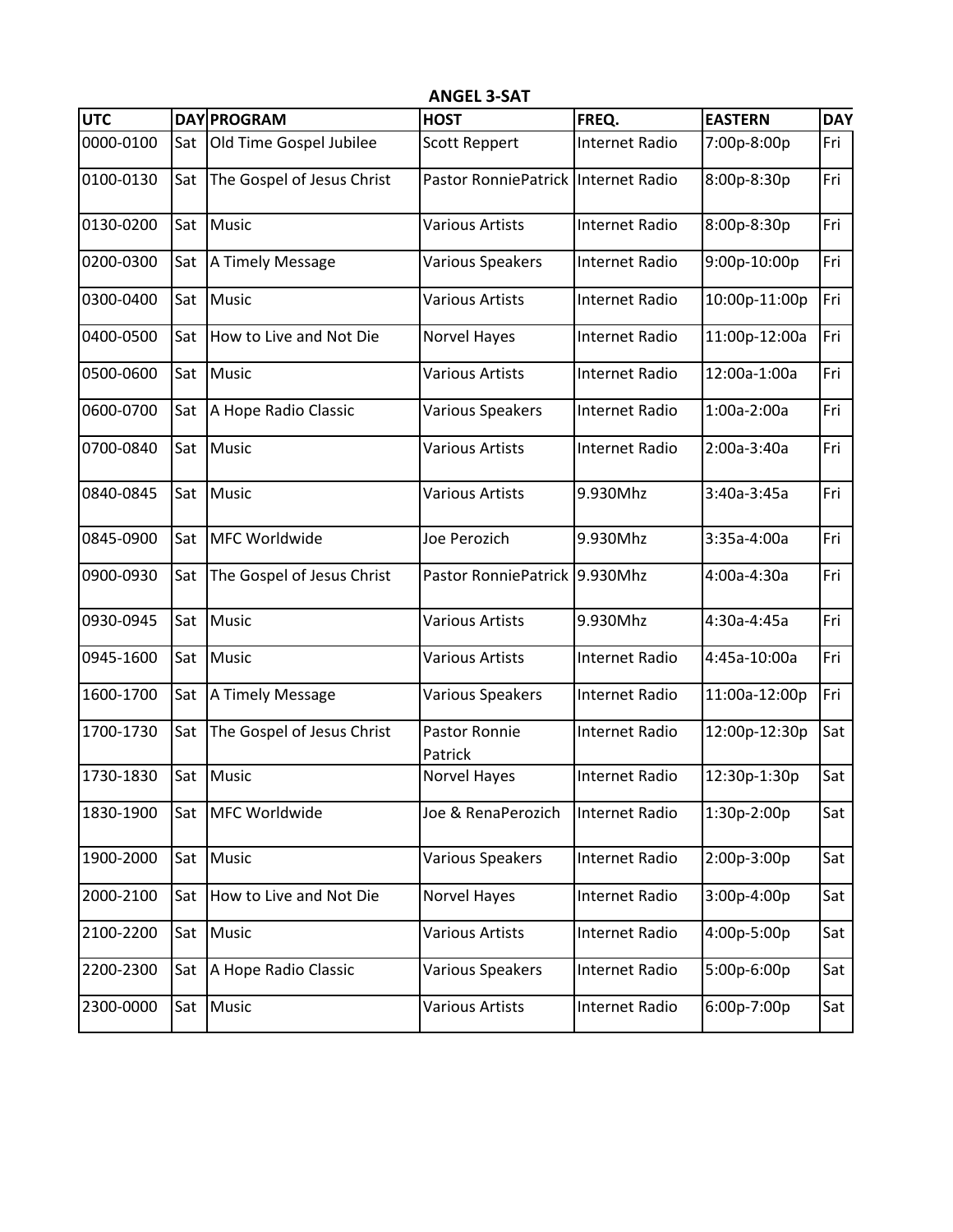| <b>UTC</b> |     | <b>DAY PROGRAM</b>         | <b>HOST</b>                         | FREQ.                 | <b>EASTERN</b> | <b>DAY</b> |
|------------|-----|----------------------------|-------------------------------------|-----------------------|----------------|------------|
| 0000-0100  | Sat | Old Time Gospel Jubilee    | <b>Scott Reppert</b>                | <b>Internet Radio</b> | 7:00p-8:00p    | Fri        |
| 0100-0130  | Sat | The Gospel of Jesus Christ | Pastor RonniePatrick Internet Radio |                       | 8:00p-8:30p    | Fri        |
| 0130-0200  | Sat | Music                      | Various Artists                     | <b>Internet Radio</b> | 8:00p-8:30p    | Fri        |
| 0200-0300  | Sat | A Timely Message           | Various Speakers                    | <b>Internet Radio</b> | 9:00p-10:00p   | Fri        |
| 0300-0400  | Sat | Music                      | Various Artists                     | <b>Internet Radio</b> | 10:00p-11:00p  | Fri        |
| 0400-0500  | Sat | How to Live and Not Die    | <b>Norvel Hayes</b>                 | <b>Internet Radio</b> | 11:00p-12:00a  | Fri        |
| 0500-0600  | Sat | Music                      | <b>Various Artists</b>              | <b>Internet Radio</b> | 12:00a-1:00a   | Fri        |
| 0600-0700  | Sat | A Hope Radio Classic       | Various Speakers                    | <b>Internet Radio</b> | 1:00a-2:00a    | Fri        |
| 0700-0840  | Sat | Music                      | <b>Various Artists</b>              | <b>Internet Radio</b> | 2:00a-3:40a    | Fri        |
| 0840-0845  | Sat | Music                      | <b>Various Artists</b>              | 9.930Mhz              | 3:40a-3:45a    | Fri        |
| 0845-0900  | Sat | MFC Worldwide              | Joe Perozich                        | 9.930Mhz              | 3:35a-4:00a    | Fri        |
| 0900-0930  | Sat | The Gospel of Jesus Christ | Pastor RonniePatrick 9.930Mhz       |                       | 4:00a-4:30a    | Fri        |
| 0930-0945  | Sat | Music                      | <b>Various Artists</b>              | 9.930Mhz              | 4:30a-4:45a    | Fri        |
| 0945-1600  | Sat | Music                      | <b>Various Artists</b>              | <b>Internet Radio</b> | 4:45a-10:00a   | Fri        |
| 1600-1700  | Sat | A Timely Message           | Various Speakers                    | <b>Internet Radio</b> | 11:00a-12:00p  | Fri        |
| 1700-1730  | Sat | The Gospel of Jesus Christ | Pastor Ronnie<br>Patrick            | <b>Internet Radio</b> | 12:00p-12:30p  | Sat        |
| 1730-1830  | Sat | Music                      | <b>Norvel Hayes</b>                 | <b>Internet Radio</b> | 12:30p-1:30p   | Sat        |
| 1830-1900  | Sat | MFC Worldwide              | Joe & RenaPerozich                  | <b>Internet Radio</b> | 1:30p-2:00p    | Sat        |
| 1900-2000  | Sat | Music                      | Various Speakers                    | Internet Radio        | 2:00p-3:00p    | Sat        |
| 2000-2100  | Sat | How to Live and Not Die    | Norvel Hayes                        | Internet Radio        | 3:00p-4:00p    | Sat        |
| 2100-2200  | Sat | Music                      | Various Artists                     | Internet Radio        | 4:00p-5:00p    | Sat        |
| 2200-2300  | Sat | A Hope Radio Classic       | Various Speakers                    | Internet Radio        | 5:00p-6:00p    | Sat        |
| 2300-0000  | Sat | Music                      | Various Artists                     | Internet Radio        | 6:00p-7:00p    | Sat        |

**ANGEL 3-SAT**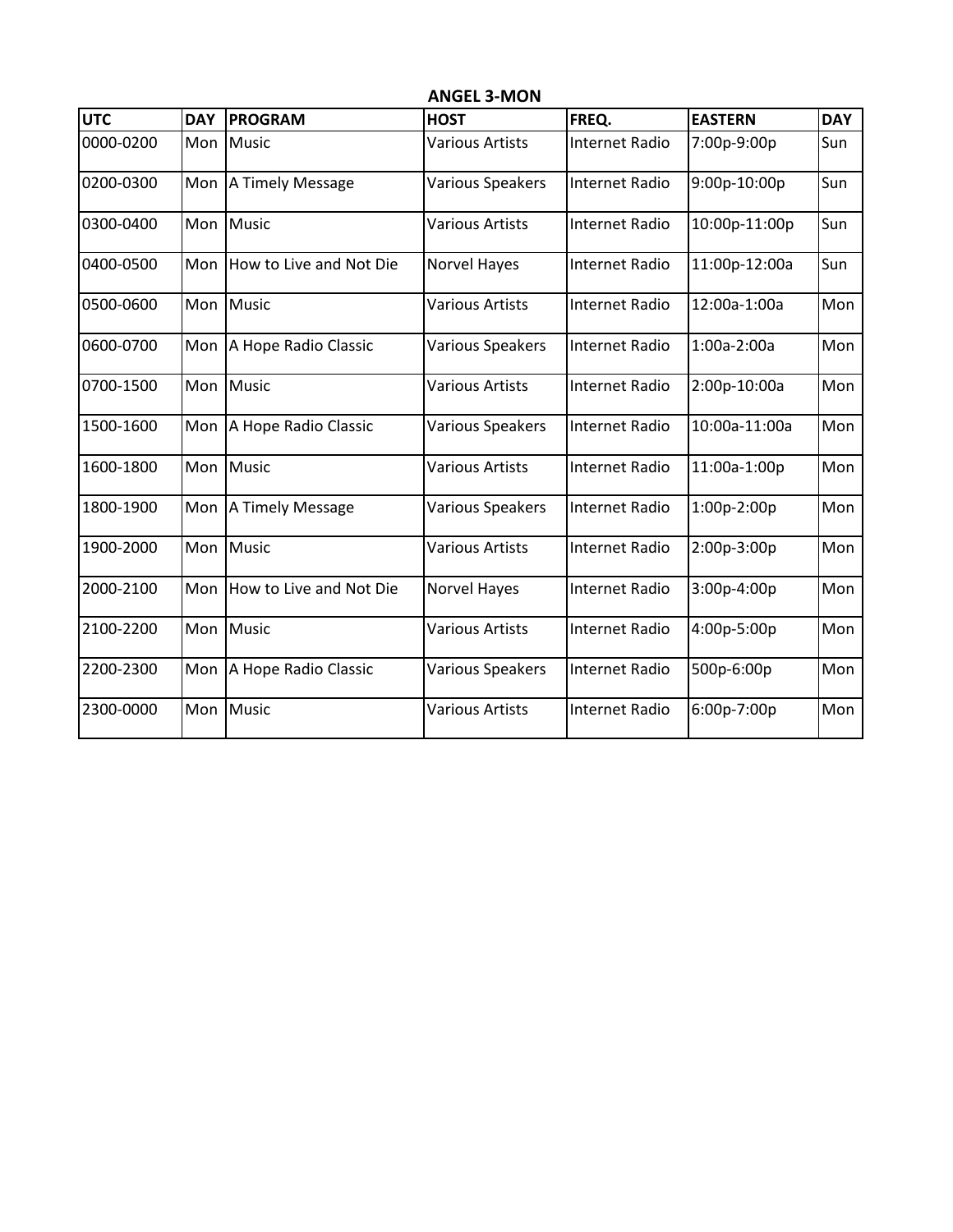| <b>UTC</b> | <b>DAY</b> | <b>PROGRAM</b>          | <b>HOST</b>             | FREQ.                 | <b>EASTERN</b> | <b>DAY</b> |
|------------|------------|-------------------------|-------------------------|-----------------------|----------------|------------|
| 0000-0200  | Mon        | <b>Music</b>            | <b>Various Artists</b>  | <b>Internet Radio</b> | 7:00p-9:00p    | Sun        |
| 0200-0300  | Mon        | A Timely Message        | Various Speakers        | <b>Internet Radio</b> | 9:00p-10:00p   | Sun        |
| 0300-0400  | Mon        | <b>Music</b>            | <b>Various Artists</b>  | Internet Radio        | 10:00p-11:00p  | Sun        |
| 0400-0500  | Mon        | How to Live and Not Die | Norvel Hayes            | Internet Radio        | 11:00p-12:00a  | Sun        |
| 0500-0600  | Mon        | <b>Music</b>            | <b>Various Artists</b>  | <b>Internet Radio</b> | 12:00a-1:00a   | Mon        |
| 0600-0700  | Mon        | A Hope Radio Classic    | <b>Various Speakers</b> | <b>Internet Radio</b> | 1:00a-2:00a    | Mon        |
| 0700-1500  | Mon        | <b>Music</b>            | <b>Various Artists</b>  | Internet Radio        | 2:00p-10:00a   | Mon        |
| 1500-1600  | Mon        | A Hope Radio Classic    | <b>Various Speakers</b> | Internet Radio        | 10:00a-11:00a  | Mon        |
| 1600-1800  | Mon        | <b>Music</b>            | <b>Various Artists</b>  | <b>Internet Radio</b> | 11:00a-1:00p   | Mon        |
| 1800-1900  | Mon        | A Timely Message        | Various Speakers        | <b>Internet Radio</b> | 1:00p-2:00p    | Mon        |
| 1900-2000  |            | Mon Music               | <b>Various Artists</b>  | <b>Internet Radio</b> | 2:00p-3:00p    | Mon        |
| 2000-2100  | Mon        | How to Live and Not Die | <b>Norvel Hayes</b>     | Internet Radio        | $3:00p-4:00p$  | Mon        |
| 2100-2200  | Mon        | <b>Music</b>            | <b>Various Artists</b>  | Internet Radio        | 4:00p-5:00p    | Mon        |
| 2200-2300  | Mon        | A Hope Radio Classic    | <b>Various Speakers</b> | Internet Radio        | 500p-6:00p     | Mon        |
| 2300-0000  | Mon        | <b>Music</b>            | <b>Various Artists</b>  | <b>Internet Radio</b> | 6:00p-7:00p    | Mon        |

**ANGEL 3-MON**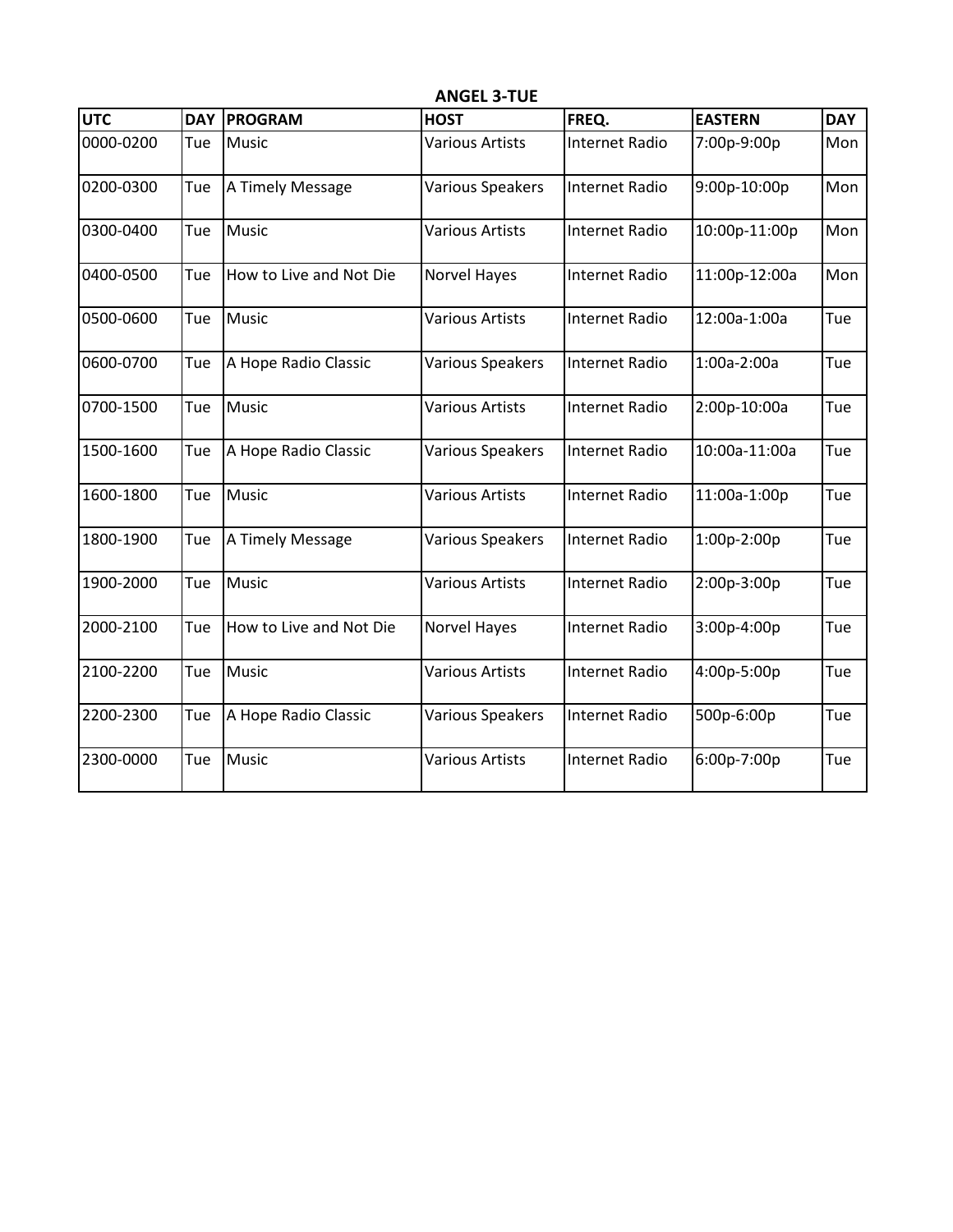| <b>UTC</b> | <b>DAY</b> | <b>PROGRAM</b>          | <b>HOST</b>            | FREQ.                 | <b>EASTERN</b> | <b>DAY</b> |
|------------|------------|-------------------------|------------------------|-----------------------|----------------|------------|
| 0000-0200  | Tue        | <b>Music</b>            | Various Artists        | <b>Internet Radio</b> | 7:00p-9:00p    | Mon        |
| 0200-0300  | Tue        | A Timely Message        | Various Speakers       | <b>Internet Radio</b> | 9:00p-10:00p   | Mon        |
| 0300-0400  | Tue        | <b>Music</b>            | Various Artists        | <b>Internet Radio</b> | 10:00p-11:00p  | Mon        |
| 0400-0500  | Tue        | How to Live and Not Die | Norvel Hayes           | Internet Radio        | 11:00p-12:00a  | Mon        |
| 0500-0600  | Tue        | <b>Music</b>            | Various Artists        | <b>Internet Radio</b> | 12:00a-1:00a   | Tue        |
| 0600-0700  | Tue        | A Hope Radio Classic    | Various Speakers       | <b>Internet Radio</b> | 1:00a-2:00a    | Tue        |
| 0700-1500  | Tue        | <b>Music</b>            | <b>Various Artists</b> | <b>Internet Radio</b> | 2:00p-10:00a   | Tue        |
| 1500-1600  | Tue        | A Hope Radio Classic    | Various Speakers       | <b>Internet Radio</b> | 10:00a-11:00a  | Tue        |
| 1600-1800  | Tue        | Music                   | Various Artists        | <b>Internet Radio</b> | 11:00a-1:00p   | Tue        |
| 1800-1900  | Tue        | A Timely Message        | Various Speakers       | <b>Internet Radio</b> | 1:00p-2:00p    | Tue        |
| 1900-2000  | Tue        | <b>Music</b>            | <b>Various Artists</b> | <b>Internet Radio</b> | 2:00p-3:00p    | Tue        |
| 2000-2100  | Tue        | How to Live and Not Die | <b>Norvel Hayes</b>    | <b>Internet Radio</b> | 3:00p-4:00p    | Tue        |
| 2100-2200  | Tue        | <b>Music</b>            | <b>Various Artists</b> | <b>Internet Radio</b> | 4:00p-5:00p    | Tue        |
| 2200-2300  | Tue        | A Hope Radio Classic    | Various Speakers       | <b>Internet Radio</b> | 500p-6:00p     | Tue        |
| 2300-0000  | Tue        | <b>Music</b>            | <b>Various Artists</b> | <b>Internet Radio</b> | 6:00p-7:00p    | Tue        |

**ANGEL 3-TUE**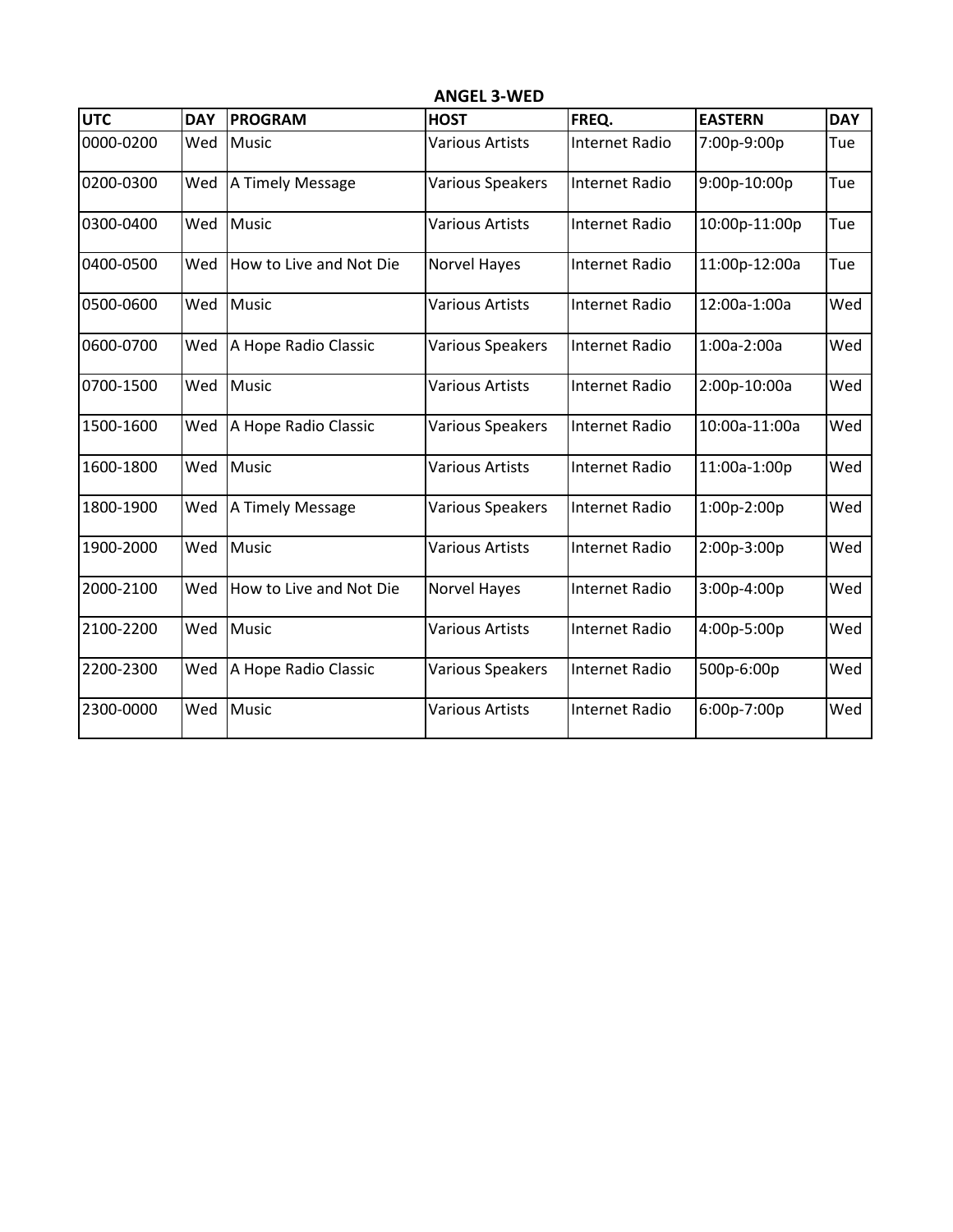| <b>UTC</b> | <b>DAY</b> | <b>PROGRAM</b>          | <b>HOST</b>            | FREQ.                 | <b>EASTERN</b> | <b>DAY</b> |
|------------|------------|-------------------------|------------------------|-----------------------|----------------|------------|
| 0000-0200  | Wed        | <b>Music</b>            | <b>Various Artists</b> | <b>Internet Radio</b> | 7:00p-9:00p    | Tue        |
| 0200-0300  | Wed        | A Timely Message        | Various Speakers       | <b>Internet Radio</b> | 9:00p-10:00p   | Tue        |
| 0300-0400  | Wed        | <b>Music</b>            | <b>Various Artists</b> | <b>Internet Radio</b> | 10:00p-11:00p  | Tue        |
| 0400-0500  | Wed        | How to Live and Not Die | Norvel Hayes           | <b>Internet Radio</b> | 11:00p-12:00a  | Tue        |
| 0500-0600  | Wed        | Music                   | Various Artists        | Internet Radio        | 12:00a-1:00a   | Wed        |
| 0600-0700  | Wed        | A Hope Radio Classic    | Various Speakers       | <b>Internet Radio</b> | 1:00a-2:00a    | Wed        |
| 0700-1500  | Wed        | <b>Music</b>            | <b>Various Artists</b> | <b>Internet Radio</b> | 2:00p-10:00a   | Wed        |
| 1500-1600  | Wed        | A Hope Radio Classic    | Various Speakers       | <b>Internet Radio</b> | 10:00a-11:00a  | Wed        |
| 1600-1800  | Wed        | <b>Music</b>            | <b>Various Artists</b> | <b>Internet Radio</b> | 11:00a-1:00p   | Wed        |
| 1800-1900  | Wed        | A Timely Message        | Various Speakers       | <b>Internet Radio</b> | 1:00p-2:00p    | Wed        |
| 1900-2000  | Wed        | <b>Music</b>            | <b>Various Artists</b> | <b>Internet Radio</b> | 2:00p-3:00p    | Wed        |
| 2000-2100  | Wed        | How to Live and Not Die | <b>Norvel Hayes</b>    | <b>Internet Radio</b> | 3:00p-4:00p    | Wed        |
| 2100-2200  | Wed        | <b>Music</b>            | <b>Various Artists</b> | <b>Internet Radio</b> | 4:00p-5:00p    | Wed        |
| 2200-2300  | Wed        | A Hope Radio Classic    | Various Speakers       | Internet Radio        | 500p-6:00p     | Wed        |
| 2300-0000  | Wed        | <b>Music</b>            | <b>Various Artists</b> | <b>Internet Radio</b> | 6:00p-7:00p    | Wed        |

**ANGEL 3-WED**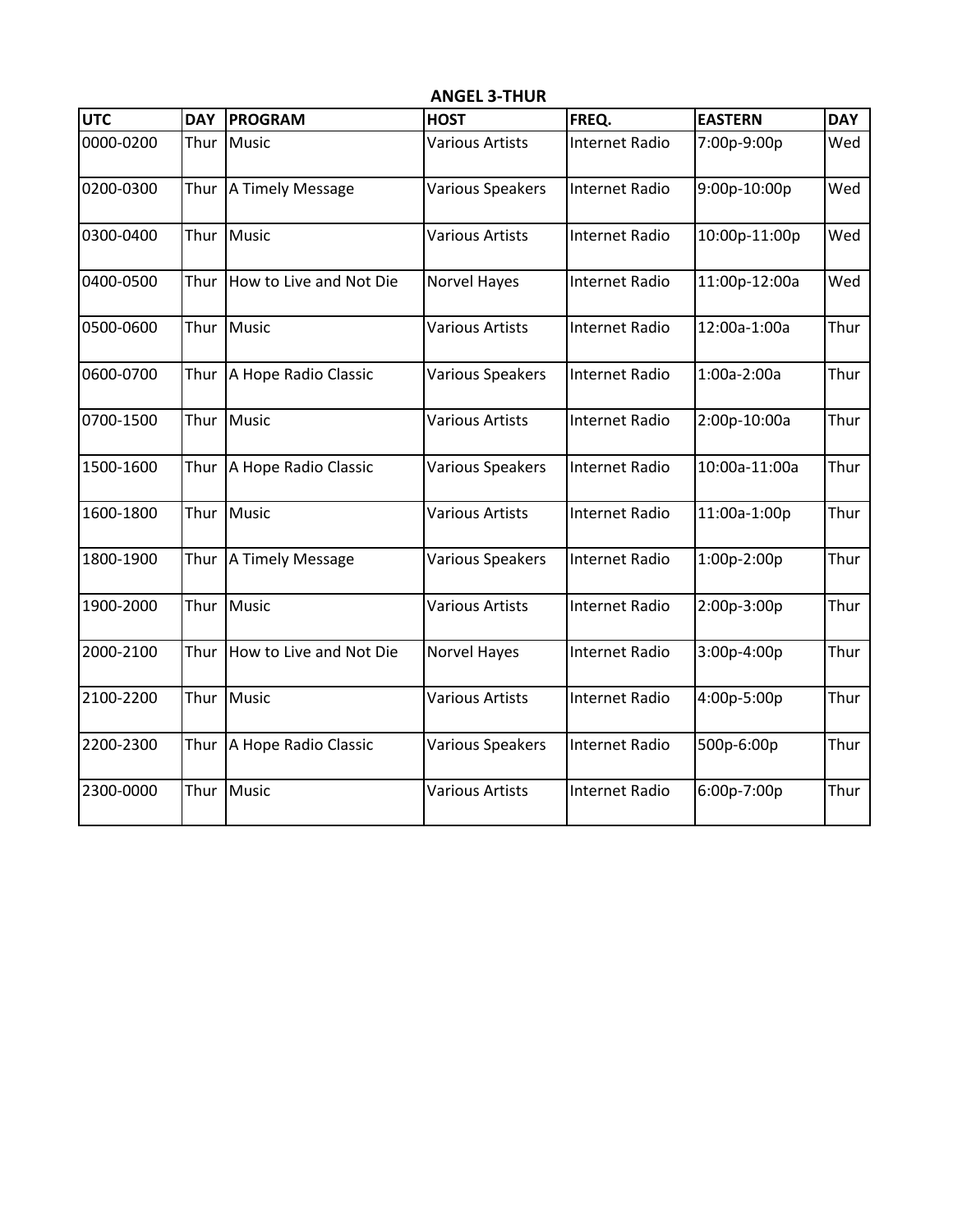| <b>UTC</b> | <b>DAY</b> | <b>PROGRAM</b>          | <b>HOST</b>             | FREQ.                 | <b>EASTERN</b> | <b>DAY</b> |
|------------|------------|-------------------------|-------------------------|-----------------------|----------------|------------|
| 0000-0200  | Thur       | Music                   | <b>Various Artists</b>  | <b>Internet Radio</b> | 7:00p-9:00p    | Wed        |
| 0200-0300  |            | Thur   A Timely Message | <b>Various Speakers</b> | Internet Radio        | 9:00p-10:00p   | Wed        |
| 0300-0400  |            | Thur Music              | <b>Various Artists</b>  | <b>Internet Radio</b> | 10:00p-11:00p  | Wed        |
| 0400-0500  | Thur       | How to Live and Not Die | Norvel Hayes            | <b>Internet Radio</b> | 11:00p-12:00a  | Wed        |
| 0500-0600  | Thur       | Music                   | <b>Various Artists</b>  | <b>Internet Radio</b> | 12:00a-1:00a   | Thur       |
| 0600-0700  | Thur       | A Hope Radio Classic    | Various Speakers        | <b>Internet Radio</b> | 1:00a-2:00a    | Thur       |
| 0700-1500  | Thur       | Music                   | <b>Various Artists</b>  | <b>Internet Radio</b> | 2:00p-10:00a   | Thur       |
| 1500-1600  | Thur       | A Hope Radio Classic    | <b>Various Speakers</b> | <b>Internet Radio</b> | 10:00a-11:00a  | Thur       |
| 1600-1800  |            | Thur Music              | <b>Various Artists</b>  | Internet Radio        | 11:00a-1:00p   | Thur       |
| 1800-1900  | Thur       | A Timely Message        | Various Speakers        | <b>Internet Radio</b> | 1:00p-2:00p    | Thur       |
| 1900-2000  | Thur       | Music                   | <b>Various Artists</b>  | <b>Internet Radio</b> | 2:00p-3:00p    | Thur       |
| 2000-2100  | Thur       | How to Live and Not Die | <b>Norvel Hayes</b>     | <b>Internet Radio</b> | 3:00p-4:00p    | Thur       |
| 2100-2200  | Thur       | Music                   | <b>Various Artists</b>  | <b>Internet Radio</b> | 4:00p-5:00p    | Thur       |
| 2200-2300  | Thur       | A Hope Radio Classic    | <b>Various Speakers</b> | Internet Radio        | 500p-6:00p     | Thur       |
| 2300-0000  |            | Thur Music              | <b>Various Artists</b>  | <b>Internet Radio</b> | 6:00p-7:00p    | Thur       |

**ANGEL 3-THUR**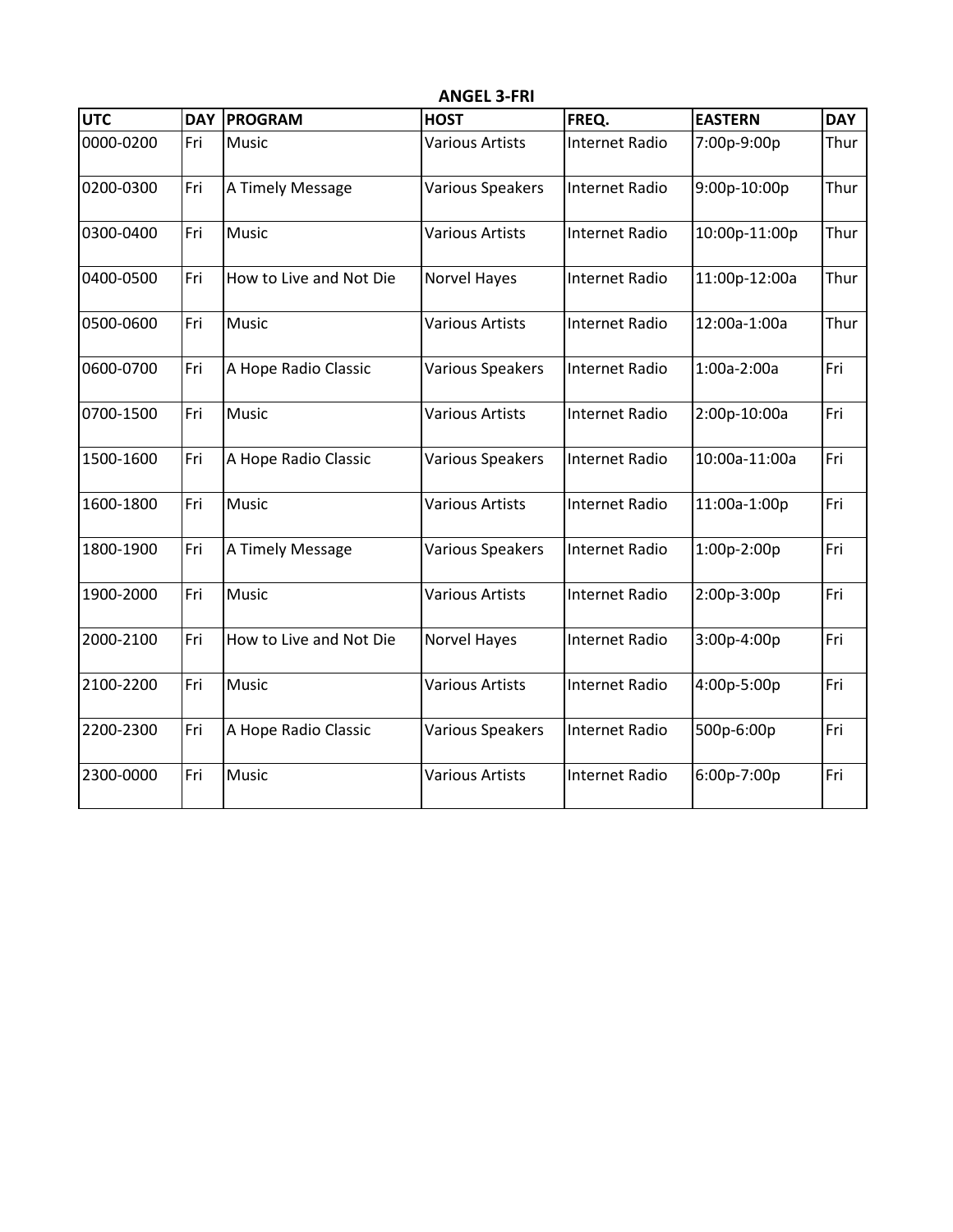| <b>UTC</b> | <b>DAY</b> | <b>PROGRAM</b>          | <b>HOST</b>            | FREQ.                 | <b>EASTERN</b> | <b>DAY</b> |
|------------|------------|-------------------------|------------------------|-----------------------|----------------|------------|
| 0000-0200  | Fri        | Music                   | <b>Various Artists</b> | <b>Internet Radio</b> | 7:00p-9:00p    | Thur       |
| 0200-0300  | Fri        | A Timely Message        | Various Speakers       | <b>Internet Radio</b> | 9:00p-10:00p   | Thur       |
| 0300-0400  | Fri        | Music                   | <b>Various Artists</b> | <b>Internet Radio</b> | 10:00p-11:00p  | Thur       |
| 0400-0500  | Fri        | How to Live and Not Die | Norvel Hayes           | <b>Internet Radio</b> | 11:00p-12:00a  | Thur       |
| 0500-0600  | Fri        | Music                   | <b>Various Artists</b> | <b>Internet Radio</b> | 12:00a-1:00a   | Thur       |
| 0600-0700  | Fri        | A Hope Radio Classic    | Various Speakers       | <b>Internet Radio</b> | 1:00a-2:00a    | Fri        |
| 0700-1500  | Fri        | Music                   | <b>Various Artists</b> | <b>Internet Radio</b> | 2:00p-10:00a   | Fri        |
| 1500-1600  | Fri        | A Hope Radio Classic    | Various Speakers       | <b>Internet Radio</b> | 10:00a-11:00a  | Fri        |
| 1600-1800  | Fri        | <b>Music</b>            | <b>Various Artists</b> | <b>Internet Radio</b> | 11:00a-1:00p   | Fri        |
| 1800-1900  | Fri        | A Timely Message        | Various Speakers       | <b>Internet Radio</b> | 1:00p-2:00p    | Fri        |
| 1900-2000  | Fri        | Music                   | <b>Various Artists</b> | <b>Internet Radio</b> | 2:00p-3:00p    | Fri        |
| 2000-2100  | Fri        | How to Live and Not Die | <b>Norvel Hayes</b>    | <b>Internet Radio</b> | 3:00p-4:00p    | Fri        |
| 2100-2200  | Fri        | <b>Music</b>            | <b>Various Artists</b> | <b>Internet Radio</b> | 4:00p-5:00p    | Fri        |
| 2200-2300  | Fri        | A Hope Radio Classic    | Various Speakers       | <b>Internet Radio</b> | 500p-6:00p     | Fri        |
| 2300-0000  | Fri        | Music                   | <b>Various Artists</b> | Internet Radio        | 6:00p-7:00p    | Fri        |

**ANGEL 3-FRI**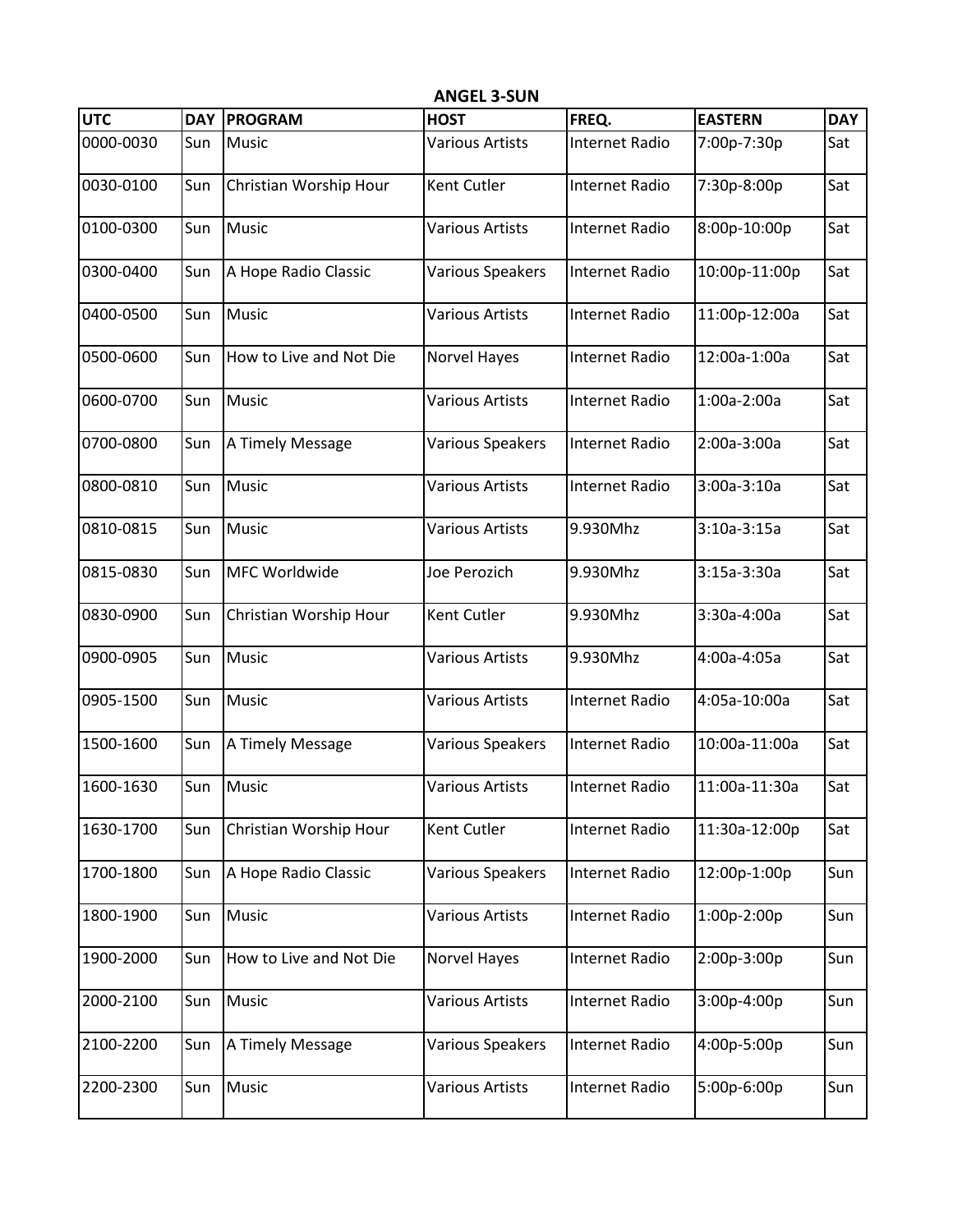| <b>UTC</b> | <b>DAY</b> | <b>PROGRAM</b>          | <b>HOST</b>             | FREQ.                 | <b>EASTERN</b> | <b>DAY</b> |
|------------|------------|-------------------------|-------------------------|-----------------------|----------------|------------|
| 0000-0030  | Sun        | <b>Music</b>            | <b>Various Artists</b>  | <b>Internet Radio</b> | 7:00p-7:30p    | Sat        |
| 0030-0100  | Sun        | Christian Worship Hour  | Kent Cutler             | <b>Internet Radio</b> | 7:30p-8:00p    | Sat        |
| 0100-0300  | Sun        | Music                   | <b>Various Artists</b>  | <b>Internet Radio</b> | 8:00p-10:00p   | Sat        |
| 0300-0400  | Sun        | A Hope Radio Classic    | <b>Various Speakers</b> | Internet Radio        | 10:00p-11:00p  | Sat        |
| 0400-0500  | Sun        | Music                   | <b>Various Artists</b>  | <b>Internet Radio</b> | 11:00p-12:00a  | Sat        |
| 0500-0600  | Sun        | How to Live and Not Die | Norvel Hayes            | Internet Radio        | 12:00a-1:00a   | Sat        |
| 0600-0700  | Sun        | Music                   | <b>Various Artists</b>  | <b>Internet Radio</b> | 1:00a-2:00a    | Sat        |
| 0700-0800  | Sun        | A Timely Message        | <b>Various Speakers</b> | <b>Internet Radio</b> | 2:00a-3:00a    | Sat        |
| 0800-0810  | Sun        | Music                   | <b>Various Artists</b>  | Internet Radio        | 3:00a-3:10a    | Sat        |
| 0810-0815  | Sun        | Music                   | <b>Various Artists</b>  | 9.930Mhz              | $3:10a-3:15a$  | Sat        |
| 0815-0830  | Sun        | MFC Worldwide           | Joe Perozich            | 9.930Mhz              | 3:15a-3:30a    | Sat        |
| 0830-0900  | Sun        | Christian Worship Hour  | Kent Cutler             | 9.930Mhz              | 3:30a-4:00a    | Sat        |
| 0900-0905  | Sun        | <b>Music</b>            | <b>Various Artists</b>  | 9.930Mhz              | 4:00a-4:05a    | Sat        |
| 0905-1500  | Sun        | Music                   | <b>Various Artists</b>  | <b>Internet Radio</b> | 4:05a-10:00a   | Sat        |
| 1500-1600  | Sun        | A Timely Message        | <b>Various Speakers</b> | Internet Radio        | 10:00a-11:00a  | Sat        |
| 1600-1630  | Sun        | Music                   | <b>Various Artists</b>  | Internet Radio        | 11:00a-11:30a  | Sat        |
| 1630-1700  | Sun        | Christian Worship Hour  | Kent Cutler             | <b>Internet Radio</b> | 11:30a-12:00p  | Sat        |
| 1700-1800  | Sun        | A Hope Radio Classic    | <b>Various Speakers</b> | Internet Radio        | 12:00p-1:00p   | Sun        |
| 1800-1900  | Sun        | <b>Music</b>            | <b>Various Artists</b>  | <b>Internet Radio</b> | 1:00p-2:00p    | Sun        |
| 1900-2000  | Sun        | How to Live and Not Die | <b>Norvel Hayes</b>     | <b>Internet Radio</b> | 2:00p-3:00p    | Sun        |
| 2000-2100  | Sun        | Music                   | <b>Various Artists</b>  | Internet Radio        | 3:00p-4:00p    | Sun        |
| 2100-2200  | Sun        | A Timely Message        | <b>Various Speakers</b> | <b>Internet Radio</b> | 4:00p-5:00p    | Sun        |
| 2200-2300  | Sun        | <b>Music</b>            | <b>Various Artists</b>  | Internet Radio        | 5:00p-6:00p    | Sun        |

**ANGEL 3-SUN**